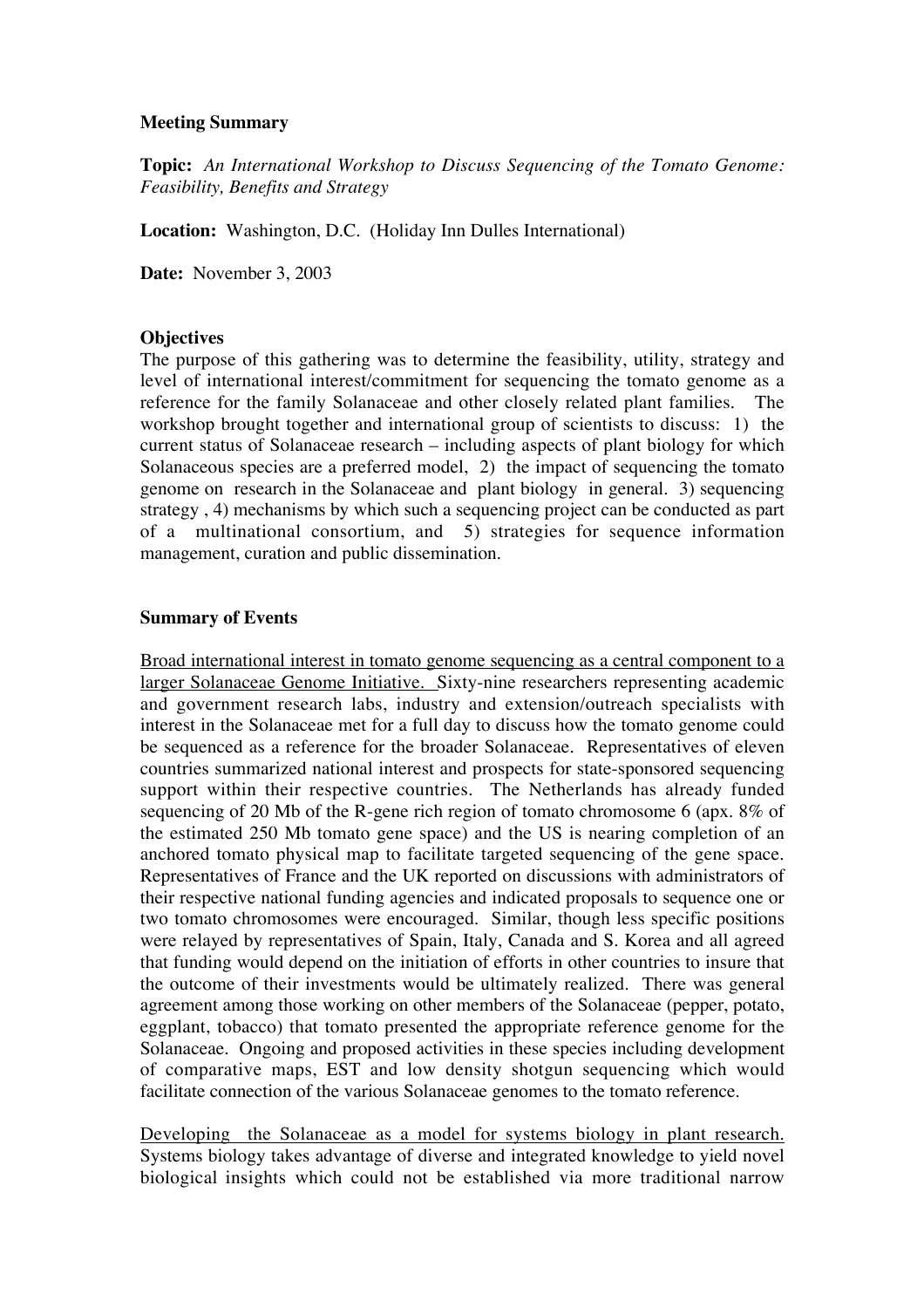#### **Meeting Summary**

**Topic:** *An International Workshop to Discuss Sequencing of the Tomato Genome: Feasibility, Benefits and Strategy*

**Location:** Washington, D.C. (Holiday Inn Dulles International)

**Date:** November 3, 2003

# **Objectives**

The purpose of this gathering was to determine the feasibility, utility, strategy and level of international interest/commitment for sequencing the tomato genome as a reference for the family Solanaceae and other closely related plant families. The workshop brought together and international group of scientists to discuss: 1) the current status of Solanaceae research – including aspects of plant biology for which Solanaceous species are a preferred model, 2) the impact of sequencing the tomato genome on research in the Solanaceae and plant biology in general. 3) sequencing strategy , 4) mechanisms by which such a sequencing project can be conducted as part of a multinational consortium, and 5) strategies for sequence information management, curation and public dissemination.

## **Summary of Events**

Broad international interest in tomato genome sequencing as a central component to a larger Solanaceae Genome Initiative. Sixty-nine researchers representing academic and government research labs, industry and extension/outreach specialists with interest in the Solanaceae met for a full day to discuss how the tomato genome could be sequenced as a reference for the broader Solanaceae. Representatives of eleven countries summarized national interest and prospects for state-sponsored sequencing support within their respective countries. The Netherlands has already funded sequencing of 20 Mb of the R-gene rich region of tomato chromosome 6 (apx. 8% of the estimated 250 Mb tomato gene space) and the US is nearing completion of an anchored tomato physical map to facilitate targeted sequencing of the gene space. Representatives of France and the UK reported on discussions with administrators of their respective national funding agencies and indicated proposals to sequence one or two tomato chromosomes were encouraged. Similar, though less specific positions were relayed by representatives of Spain, Italy, Canada and S. Korea and all agreed that funding would depend on the initiation of efforts in other countries to insure that the outcome of their investments would be ultimately realized. There was general agreement among those working on other members of the Solanaceae (pepper, potato, eggplant, tobacco) that tomato presented the appropriate reference genome for the Solanaceae. Ongoing and proposed activities in these species including development of comparative maps, EST and low density shotgun sequencing which would facilitate connection of the various Solanaceae genomes to the tomato reference.

Developing the Solanaceae as a model for systems biology in plant research. Systems biology takes advantage of diverse and integrated knowledge to yield novel biological insights which could not be established via more traditional narrow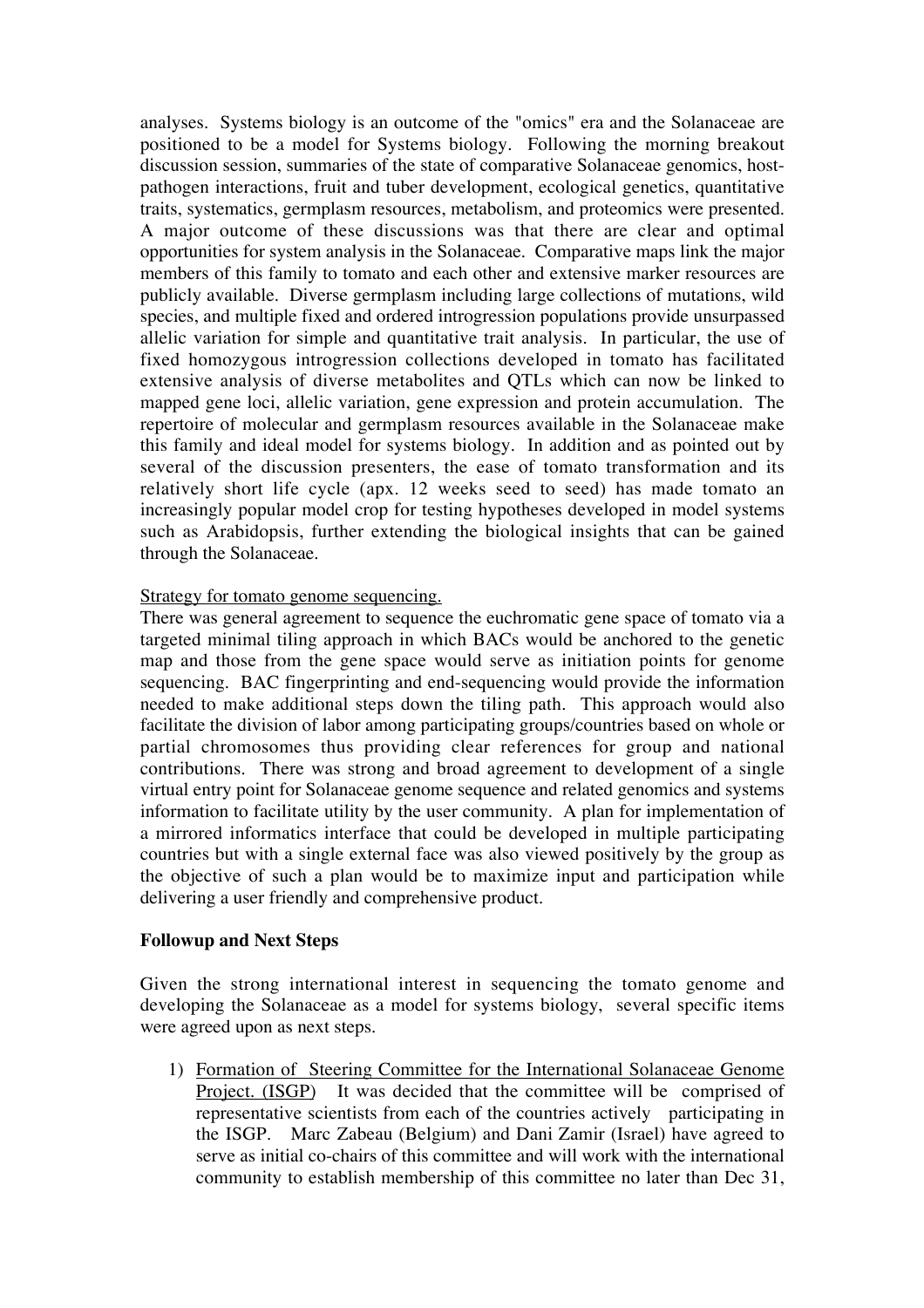analyses. Systems biology is an outcome of the "omics" era and the Solanaceae are positioned to be a model for Systems biology. Following the morning breakout discussion session, summaries of the state of comparative Solanaceae genomics, hostpathogen interactions, fruit and tuber development, ecological genetics, quantitative traits, systematics, germplasm resources, metabolism, and proteomics were presented. A major outcome of these discussions was that there are clear and optimal opportunities for system analysis in the Solanaceae. Comparative maps link the major members of this family to tomato and each other and extensive marker resources are publicly available. Diverse germplasm including large collections of mutations, wild species, and multiple fixed and ordered introgression populations provide unsurpassed allelic variation for simple and quantitative trait analysis. In particular, the use of fixed homozygous introgression collections developed in tomato has facilitated extensive analysis of diverse metabolites and QTLs which can now be linked to mapped gene loci, allelic variation, gene expression and protein accumulation. The repertoire of molecular and germplasm resources available in the Solanaceae make this family and ideal model for systems biology. In addition and as pointed out by several of the discussion presenters, the ease of tomato transformation and its relatively short life cycle (apx. 12 weeks seed to seed) has made tomato an increasingly popular model crop for testing hypotheses developed in model systems such as Arabidopsis, further extending the biological insights that can be gained through the Solanaceae.

## Strategy for tomato genome sequencing.

There was general agreement to sequence the euchromatic gene space of tomato via a targeted minimal tiling approach in which BACs would be anchored to the genetic map and those from the gene space would serve as initiation points for genome sequencing. BAC fingerprinting and end-sequencing would provide the information needed to make additional steps down the tiling path. This approach would also facilitate the division of labor among participating groups/countries based on whole or partial chromosomes thus providing clear references for group and national contributions. There was strong and broad agreement to development of a single virtual entry point for Solanaceae genome sequence and related genomics and systems information to facilitate utility by the user community. A plan for implementation of a mirrored informatics interface that could be developed in multiple participating countries but with a single external face was also viewed positively by the group as the objective of such a plan would be to maximize input and participation while delivering a user friendly and comprehensive product.

#### **Followup and Next Steps**

Given the strong international interest in sequencing the tomato genome and developing the Solanaceae as a model for systems biology, several specific items were agreed upon as next steps.

1) Formation of Steering Committee for the International Solanaceae Genome Project. (ISGP) It was decided that the committee will be comprised of representative scientists from each of the countries actively participating in the ISGP. Marc Zabeau (Belgium) and Dani Zamir (Israel) have agreed to serve as initial co-chairs of this committee and will work with the international community to establish membership of this committee no later than Dec 31,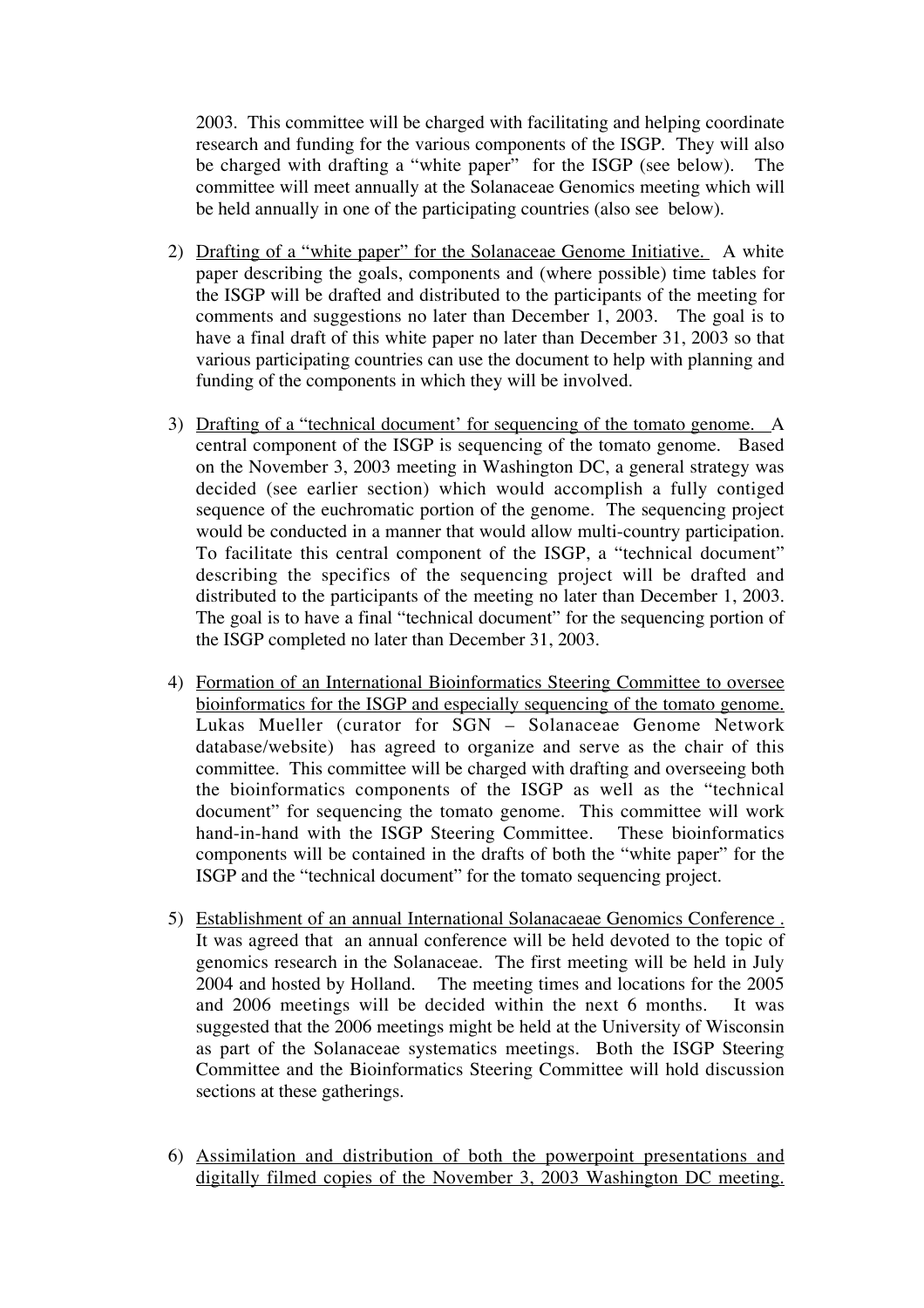2003. This committee will be charged with facilitating and helping coordinate research and funding for the various components of the ISGP. They will also be charged with drafting a "white paper" for the ISGP (see below). The committee will meet annually at the Solanaceae Genomics meeting which will be held annually in one of the participating countries (also see below).

- 2) Drafting of a "white paper" for the Solanaceae Genome Initiative. A white paper describing the goals, components and (where possible) time tables for the ISGP will be drafted and distributed to the participants of the meeting for comments and suggestions no later than December 1, 2003. The goal is to have a final draft of this white paper no later than December 31, 2003 so that various participating countries can use the document to help with planning and funding of the components in which they will be involved.
- 3) Drafting of a "technical document' for sequencing of the tomato genome. A central component of the ISGP is sequencing of the tomato genome. Based on the November 3, 2003 meeting in Washington DC, a general strategy was decided (see earlier section) which would accomplish a fully contiged sequence of the euchromatic portion of the genome. The sequencing project would be conducted in a manner that would allow multi-country participation. To facilitate this central component of the ISGP, a "technical document" describing the specifics of the sequencing project will be drafted and distributed to the participants of the meeting no later than December 1, 2003. The goal is to have a final "technical document" for the sequencing portion of the ISGP completed no later than December 31, 2003.
- 4) Formation of an International Bioinformatics Steering Committee to oversee bioinformatics for the ISGP and especially sequencing of the tomato genome. Lukas Mueller (curator for SGN – Solanaceae Genome Network database/website) has agreed to organize and serve as the chair of this committee*.* This committee will be charged with drafting and overseeing both the bioinformatics components of the ISGP as well as the "technical document" for sequencing the tomato genome. This committee will work hand-in-hand with the ISGP Steering Committee. These bioinformatics components will be contained in the drafts of both the "white paper" for the ISGP and the "technical document" for the tomato sequencing project.
- 5) Establishment of an annual International Solanacaeae Genomics Conference . It was agreed that an annual conference will be held devoted to the topic of genomics research in the Solanaceae. The first meeting will be held in July 2004 and hosted by Holland. The meeting times and locations for the 2005 and 2006 meetings will be decided within the next 6 months. It was suggested that the 2006 meetings might be held at the University of Wisconsin as part of the Solanaceae systematics meetings. Both the ISGP Steering Committee and the Bioinformatics Steering Committee will hold discussion sections at these gatherings.
- 6) Assimilation and distribution of both the powerpoint presentations and digitally filmed copies of the November 3, 2003 Washington DC meeting.